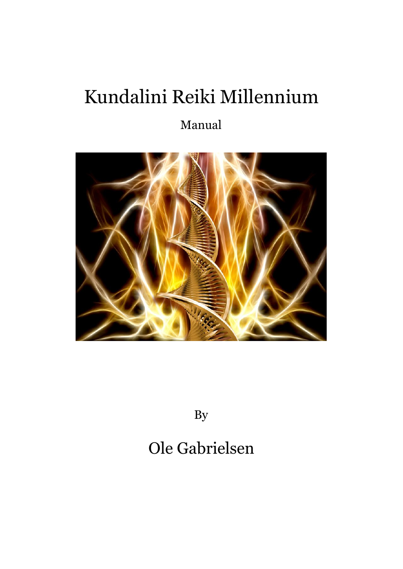# Kundalini Reiki Millennium

### Manual



By

## Ole Gabrielsen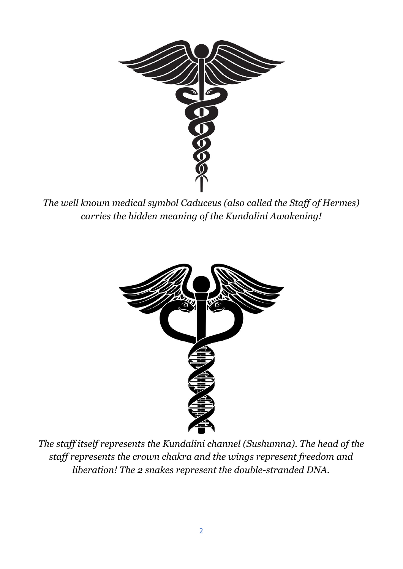

*The well known medical symbol Caduceus (also called the Staf of Hermes) carries the hidden meaning of the Kundalini Awakening!*



*The staf itself represents the Kundalini channel (Sushumna). The head of the staf represents the crown chakra and the wings represent freedom and liberation! The 2 snakes represent the double-stranded DNA.*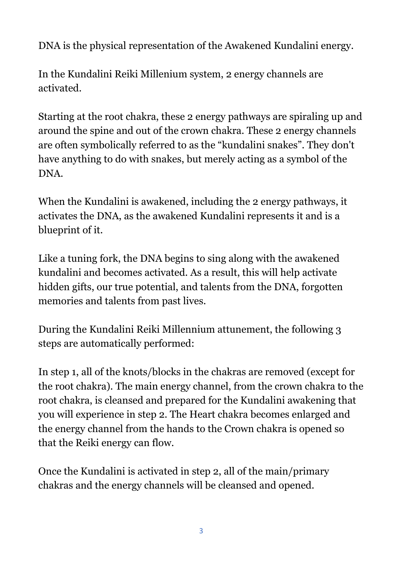DNA is the physical representation of the Awakened Kundalini energy.

In the Kundalini Reiki Millenium system, 2 energy channels are activated.

Starting at the root chakra, these 2 energy pathways are spiraling up and around the spine and out of the crown chakra. These 2 energy channels are often symbolically referred to as the "kundalini snakes". They don't have anything to do with snakes, but merely acting as a symbol of the DNA.

When the Kundalini is awakened, including the 2 energy pathways, it activates the DNA, as the awakened Kundalini represents it and is a blueprint of it.

Like a tuning fork, the DNA begins to sing along with the awakened kundalini and becomes activated. As a result, this will help activate hidden gifts, our true potential, and talents from the DNA, forgotten memories and talents from past lives.

During the Kundalini Reiki Millennium attunement, the following 3 steps are automatically performed:

In step 1, all of the knots/blocks in the chakras are removed (except for the root chakra). The main energy channel, from the crown chakra to the root chakra, is cleansed and prepared for the Kundalini awakening that you will experience in step 2. The Heart chakra becomes enlarged and the energy channel from the hands to the Crown chakra is opened so that the Reiki energy can flow.

Once the Kundalini is activated in step 2, all of the main/primary chakras and the energy channels will be cleansed and opened.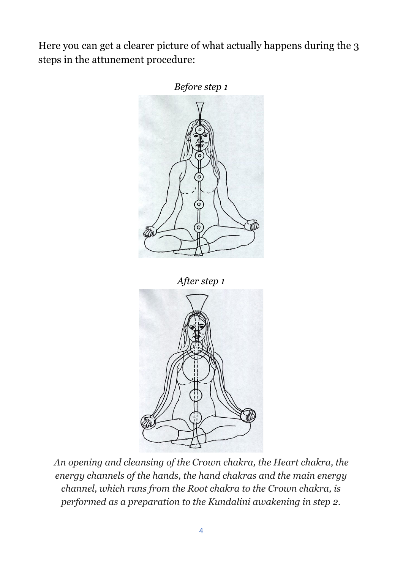Here you can get a clearer picture of what actually happens during the 3 steps in the attunement procedure:



*An opening and cleansing of the Crown chakra, the Heart chakra, the energy channels of the hands, the hand chakras and the main energy channel, which runs from the Root chakra to the Crown chakra, is performed as a preparation to the Kundalini awakening in step 2.*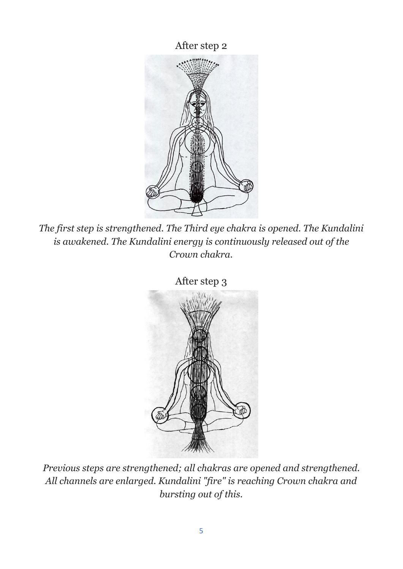After step 2



*The first step is strengthened. The Third eye chakra is opened. The Kundalini is awakened. The Kundalini energy is continuously released out of the Crown chakra.*



*Previous steps are strengthened; all chakras are opened and strengthened. All channels are enlarged. Kundalini "fire" is reaching Crown chakra and bursting out of this.*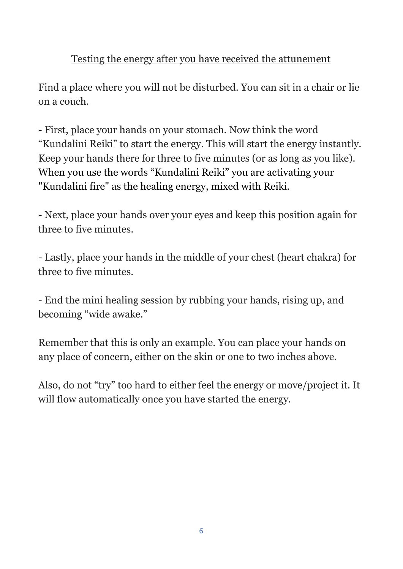#### Testing the energy after you have received the attunement

Find a place where you will not be disturbed. You can sit in a chair or lie on a couch.

- First, place your hands on your stomach. Now think the word "Kundalini Reiki" to start the energy. This will start the energy instantly. Keep your hands there for three to five minutes (or as long as you like). When you use the words "Kundalini Reiki" you are activating your "Kundalini fire" as the healing energy, mixed with Reiki.

- Next, place your hands over your eyes and keep this position again for three to five minutes.

- Lastly, place your hands in the middle of your chest (heart chakra) for three to five minutes.

- End the mini healing session by rubbing your hands, rising up, and becoming "wide awake."

Remember that this is only an example. You can place your hands on any place of concern, either on the skin or one to two inches above.

Also, do not "try" too hard to either feel the energy or move/project it. It will flow automatically once you have started the energy.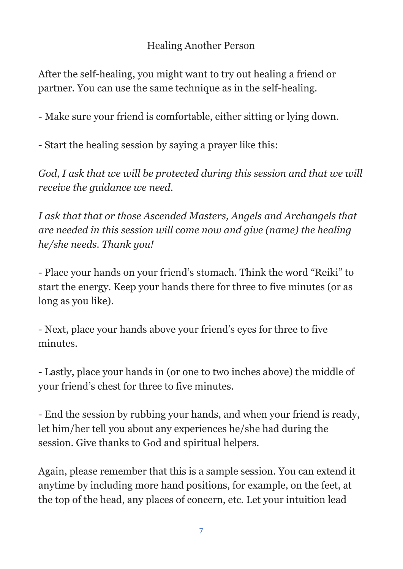#### Healing Another Person

After the self-healing, you might want to try out healing a friend or partner. You can use the same technique as in the self-healing.

- Make sure your friend is comfortable, either sitting or lying down.

- Start the healing session by saying a prayer like this:

*God, I ask that we will be protected during this session and that we will receive the guidance we need.*

*I ask that that or those Ascended Masters, Angels and Archangels that are needed in this session will come now and give (name) the healing he/she needs. Thank you!*

- Place your hands on your friend's stomach. Think the word "Reiki" to start the energy. Keep your hands there for three to five minutes (or as long as you like).

- Next, place your hands above your friend's eyes for three to five minutes.

- Lastly, place your hands in (or one to two inches above) the middle of your friend's chest for three to five minutes.

- End the session by rubbing your hands, and when your friend is ready, let him/her tell you about any experiences he/she had during the session. Give thanks to God and spiritual helpers.

Again, please remember that this is a sample session. You can extend it anytime by including more hand positions, for example, on the feet, at the top of the head, any places of concern, etc. Let your intuition lead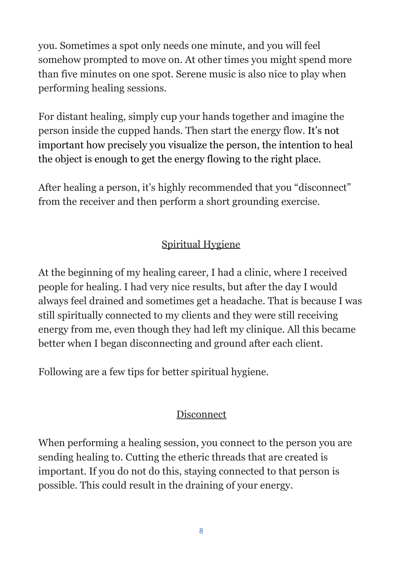you. Sometimes a spot only needs one minute, and you will feel somehow prompted to move on. At other times you might spend more than five minutes on one spot. Serene music is also nice to play when performing healing sessions.

For distant healing, simply cup your hands together and imagine the person inside the cupped hands. Then start the energy flow. It's not important how precisely you visualize the person, the intention to heal the object is enough to get the energy flowing to the right place.

After healing a person, it's highly recommended that you "disconnect" from the receiver and then perform a short grounding exercise.

#### Spiritual Hygiene

At the beginning of my healing career, I had a clinic, where I received people for healing. I had very nice results, but after the day I would always feel drained and sometimes get a headache. That is because I was still spiritually connected to my clients and they were still receiving energy from me, even though they had left my clinique. All this became better when I began disconnecting and ground after each client.

Following are a few tips for better spiritual hygiene.

#### **Disconnect**

When performing a healing session, you connect to the person you are sending healing to. Cutting the etheric threads that are created is important. If you do not do this, staying connected to that person is possible. This could result in the draining of your energy.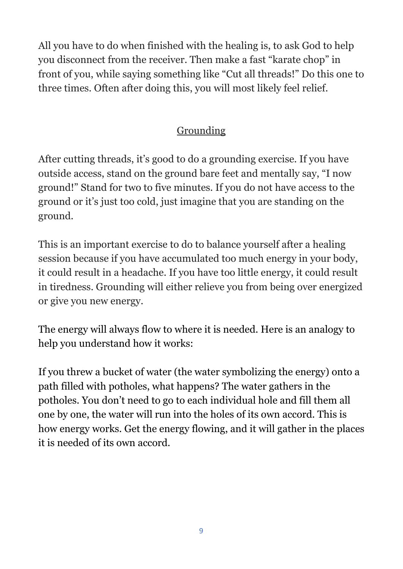All you have to do when finished with the healing is, to ask God to help you disconnect from the receiver. Then make a fast "karate chop" in front of you, while saying something like "Cut all threads!" Do this one to three times. Often after doing this, you will most likely feel relief.

#### **Grounding**

After cutting threads, it's good to do a grounding exercise. If you have outside access, stand on the ground bare feet and mentally say, "I now ground!" Stand for two to five minutes. If you do not have access to the ground or it's just too cold, just imagine that you are standing on the ground.

This is an important exercise to do to balance yourself after a healing session because if you have accumulated too much energy in your body, it could result in a headache. If you have too little energy, it could result in tiredness. Grounding will either relieve you from being over energized or give you new energy.

The energy will always flow to where it is needed. Here is an analogy to help you understand how it works:

If you threw a bucket of water (the water symbolizing the energy) onto a path filled with potholes, what happens? The water gathers in the potholes. You don't need to go to each individual hole and fill them all one by one, the water will run into the holes of its own accord. This is how energy works. Get the energy flowing, and it will gather in the places it is needed of its own accord.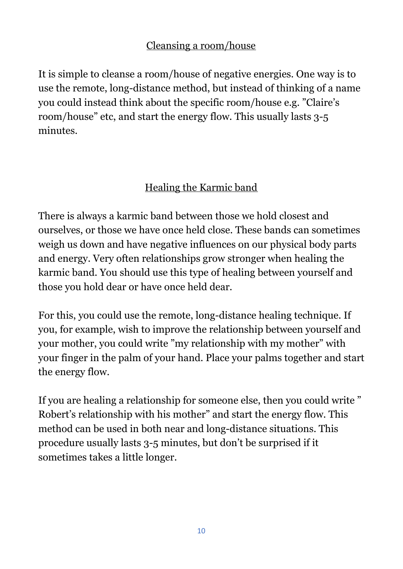#### Cleansing a room/house

It is simple to cleanse a room/house of negative energies. One way is to use the remote, long-distance method, but instead of thinking of a name you could instead think about the specific room/house e.g. "Claire's room/house" etc, and start the energy flow. This usually lasts 3-5 minutes.

#### Healing the Karmic band

There is always a karmic band between those we hold closest and ourselves, or those we have once held close. These bands can sometimes weigh us down and have negative influences on our physical body parts and energy. Very often relationships grow stronger when healing the karmic band. You should use this type of healing between yourself and those you hold dear or have once held dear.

For this, you could use the remote, long-distance healing technique. If you, for example, wish to improve the relationship between yourself and your mother, you could write "my relationship with my mother" with your finger in the palm of your hand. Place your palms together and start the energy flow.

If you are healing a relationship for someone else, then you could write " Robert's relationship with his mother" and start the energy flow. This method can be used in both near and long-distance situations. This procedure usually lasts 3-5 minutes, but don't be surprised if it sometimes takes a little longer.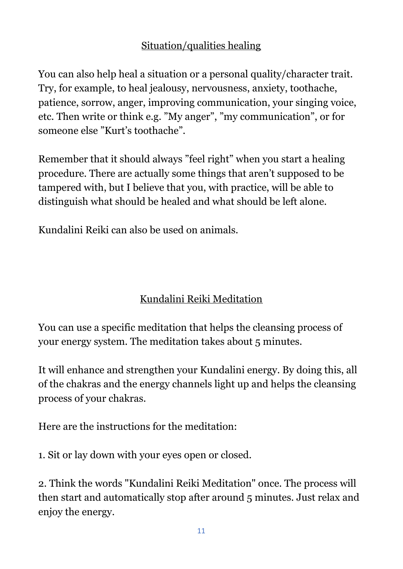#### Situation/qualities healing

You can also help heal a situation or a personal quality/character trait. Try, for example, to heal jealousy, nervousness, anxiety, toothache, patience, sorrow, anger, improving communication, your singing voice, etc. Then write or think e.g. "My anger", "my communication", or for someone else "Kurt's toothache".

Remember that it should always "feel right" when you start a healing procedure. There are actually some things that aren't supposed to be tampered with, but I believe that you, with practice, will be able to distinguish what should be healed and what should be left alone.

Kundalini Reiki can also be used on animals.

#### Kundalini Reiki Meditation

You can use a specific meditation that helps the cleansing process of your energy system. The meditation takes about 5 minutes.

It will enhance and strengthen your Kundalini energy. By doing this, all of the chakras and the energy channels light up and helps the cleansing process of your chakras.

Here are the instructions for the meditation:

1. Sit or lay down with your eyes open or closed.

2. Think the words "Kundalini Reiki Meditation" once. The process will then start and automatically stop after around 5 minutes. Just relax and enjoy the energy.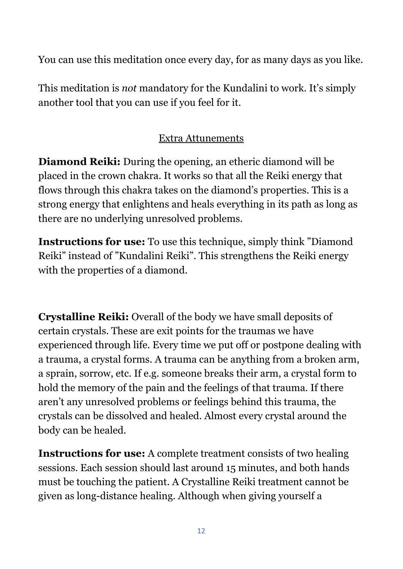You can use this meditation once every day, for as many days as you like.

This meditation is *not* mandatory for the Kundalini to work. It's simply another tool that you can use if you feel for it.

#### Extra Attunements

**Diamond Reiki:** During the opening, an etheric diamond will be placed in the crown chakra. It works so that all the Reiki energy that flows through this chakra takes on the diamond's properties. This is a strong energy that enlightens and heals everything in its path as long as there are no underlying unresolved problems.

**Instructions for use:** To use this technique, simply think "Diamond Reiki" instead of "Kundalini Reiki". This strengthens the Reiki energy with the properties of a diamond.

**Crystalline Reiki:** Overall of the body we have small deposits of certain crystals. These are exit points for the traumas we have experienced through life. Every time we put off or postpone dealing with a trauma, a crystal forms. A trauma can be anything from a broken arm, a sprain, sorrow, etc. If e.g. someone breaks their arm, a crystal form to hold the memory of the pain and the feelings of that trauma. If there aren't any unresolved problems or feelings behind this trauma, the crystals can be dissolved and healed. Almost every crystal around the body can be healed.

**Instructions for use:** A complete treatment consists of two healing sessions. Each session should last around 15 minutes, and both hands must be touching the patient. A Crystalline Reiki treatment cannot be given as long-distance healing. Although when giving yourself a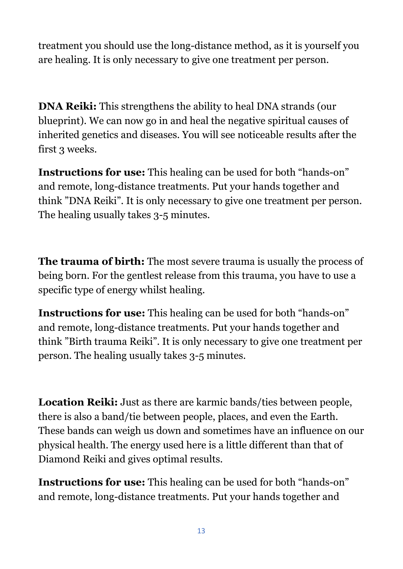treatment you should use the long-distance method, as it is yourself you are healing. It is only necessary to give one treatment per person.

**DNA Reiki:** This strengthens the ability to heal DNA strands (our blueprint). We can now go in and heal the negative spiritual causes of inherited genetics and diseases. You will see noticeable results after the first 3 weeks.

**Instructions for use:** This healing can be used for both "hands-on" and remote, long-distance treatments. Put your hands together and think "DNA Reiki". It is only necessary to give one treatment per person. The healing usually takes 3-5 minutes.

**The trauma of birth:** The most severe trauma is usually the process of being born. For the gentlest release from this trauma, you have to use a specific type of energy whilst healing.

**Instructions for use:** This healing can be used for both "hands-on" and remote, long-distance treatments. Put your hands together and think "Birth trauma Reiki". It is only necessary to give one treatment per person. The healing usually takes 3-5 minutes.

**Location Reiki:** Just as there are karmic bands/ties between people, there is also a band/tie between people, places, and even the Earth. These bands can weigh us down and sometimes have an influence on our physical health. The energy used here is a little different than that of Diamond Reiki and gives optimal results.

**Instructions for use:** This healing can be used for both "hands-on" and remote, long-distance treatments. Put your hands together and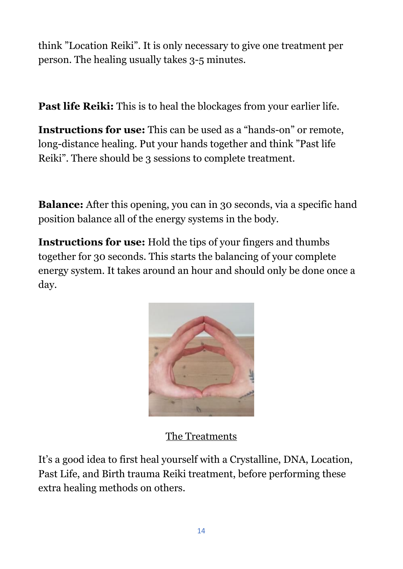think "Location Reiki". It is only necessary to give one treatment per person. The healing usually takes 3-5 minutes.

**Past life Reiki:** This is to heal the blockages from your earlier life.

**Instructions for use:** This can be used as a "hands-on" or remote, long-distance healing. Put your hands together and think "Past life Reiki". There should be 3 sessions to complete treatment.

**Balance:** After this opening, you can in 30 seconds, via a specific hand position balance all of the energy systems in the body.

**Instructions for use:** Hold the tips of your fingers and thumbs together for 30 seconds. This starts the balancing of your complete energy system. It takes around an hour and should only be done once a day.



The Treatments

It's a good idea to first heal yourself with a Crystalline, DNA, Location, Past Life, and Birth trauma Reiki treatment, before performing these extra healing methods on others.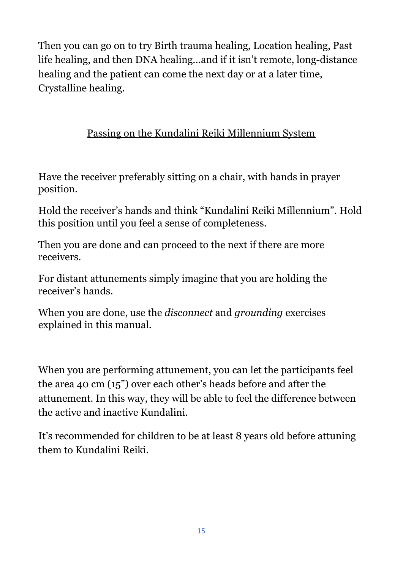Then you can go on to try Birth trauma healing, Location healing, Past life healing, and then DNA healing...and if it isn't remote, long-distance healing and the patient can come the next day or at a later time, Crystalline healing.

#### Passing on the Kundalini Reiki Millennium System

Have the receiver preferably sitting on a chair, with hands in prayer position.

Hold the receiver's hands and think "Kundalini Reiki Millennium". Hold this position until you feel a sense of completeness.

Then you are done and can proceed to the next if there are more receivers.

For distant attunements simply imagine that you are holding the receiver's hands.

When you are done, use the *disconnect* and *grounding* exercises explained in this manual.

When you are performing attunement, you can let the participants feel the area 40 cm (15") over each other's heads before and after the attunement. In this way, they will be able to feel the difference between the active and inactive Kundalini.

It's recommended for children to be at least 8 years old before attuning them to Kundalini Reiki.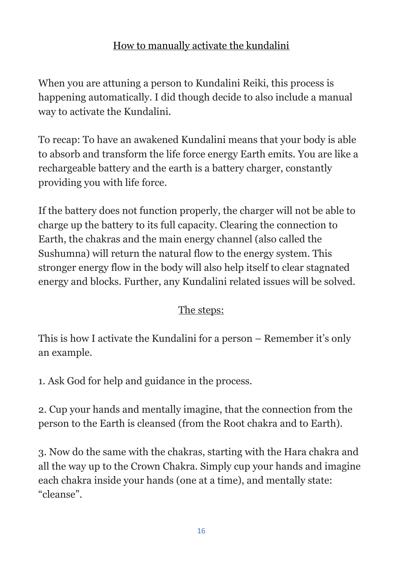#### How to manually activate the kundalini

When you are attuning a person to Kundalini Reiki, this process is happening automatically. I did though decide to also include a manual way to activate the Kundalini.

To recap: To have an awakened Kundalini means that your body is able to absorb and transform the life force energy Earth emits. You are like a rechargeable battery and the earth is a battery charger, constantly providing you with life force.

If the battery does not function properly, the charger will not be able to charge up the battery to its full capacity. Clearing the connection to Earth, the chakras and the main energy channel (also called the Sushumna) will return the natural flow to the energy system. This stronger energy flow in the body will also help itself to clear stagnated energy and blocks. Further, any Kundalini related issues will be solved.

#### The steps:

This is how I activate the Kundalini for a person – Remember it's only an example.

1. Ask God for help and guidance in the process.

2. Cup your hands and mentally imagine, that the connection from the person to the Earth is cleansed (from the Root chakra and to Earth).

3. Now do the same with the chakras, starting with the Hara chakra and all the way up to the Crown Chakra. Simply cup your hands and imagine each chakra inside your hands (one at a time), and mentally state: "cleanse".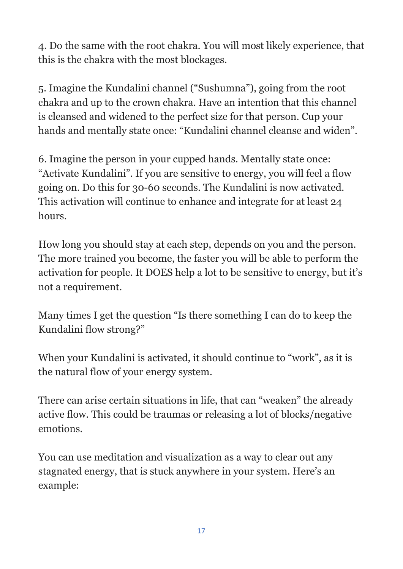4. Do the same with the root chakra. You will most likely experience, that this is the chakra with the most blockages.

5. Imagine the Kundalini channel ("Sushumna"), going from the root chakra and up to the crown chakra. Have an intention that this channel is cleansed and widened to the perfect size for that person. Cup your hands and mentally state once: "Kundalini channel cleanse and widen".

6. Imagine the person in your cupped hands. Mentally state once: "Activate Kundalini". If you are sensitive to energy, you will feel a flow going on. Do this for 30-60 seconds. The Kundalini is now activated. This activation will continue to enhance and integrate for at least 24 hours.

How long you should stay at each step, depends on you and the person. The more trained you become, the faster you will be able to perform the activation for people. It DOES help a lot to be sensitive to energy, but it's not a requirement.

Many times I get the question "Is there something I can do to keep the Kundalini flow strong?"

When your Kundalini is activated, it should continue to "work", as it is the natural flow of your energy system.

There can arise certain situations in life, that can "weaken" the already active flow. This could be traumas or releasing a lot of blocks/negative emotions.

You can use meditation and visualization as a way to clear out any stagnated energy, that is stuck anywhere in your system. Here's an example: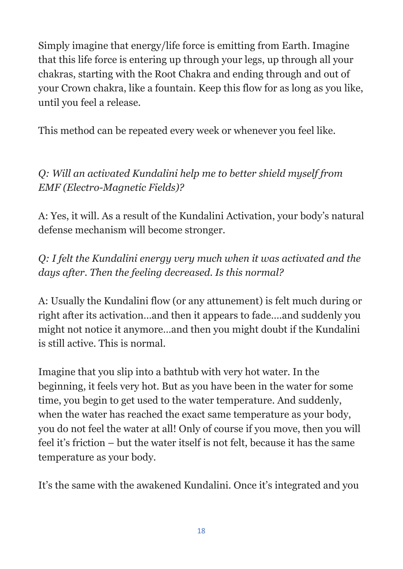Simply imagine that energy/life force is emitting from Earth. Imagine that this life force is entering up through your legs, up through all your chakras, starting with the Root Chakra and ending through and out of your Crown chakra, like a fountain. Keep this flow for as long as you like, until you feel a release.

This method can be repeated every week or whenever you feel like.

*Q: Will an activated Kundalini help me to better shield myself from EMF (Electro-Magnetic Fields)?*

A: Yes, it will. As a result of the Kundalini Activation, your body's natural defense mechanism will become stronger.

*Q: I felt the Kundalini energy very much when it was activated and the days after. Then the feeling decreased. Is this normal?*

A: Usually the Kundalini flow (or any attunement) is felt much during or right after its activation…and then it appears to fade….and suddenly you might not notice it anymore…and then you might doubt if the Kundalini is still active. This is normal.

Imagine that you slip into a bathtub with very hot water. In the beginning, it feels very hot. But as you have been in the water for some time, you begin to get used to the water temperature. And suddenly, when the water has reached the exact same temperature as your body, you do not feel the water at all! Only of course if you move, then you will feel it's friction – but the water itself is not felt, because it has the same temperature as your body.

It's the same with the awakened Kundalini. Once it's integrated and you